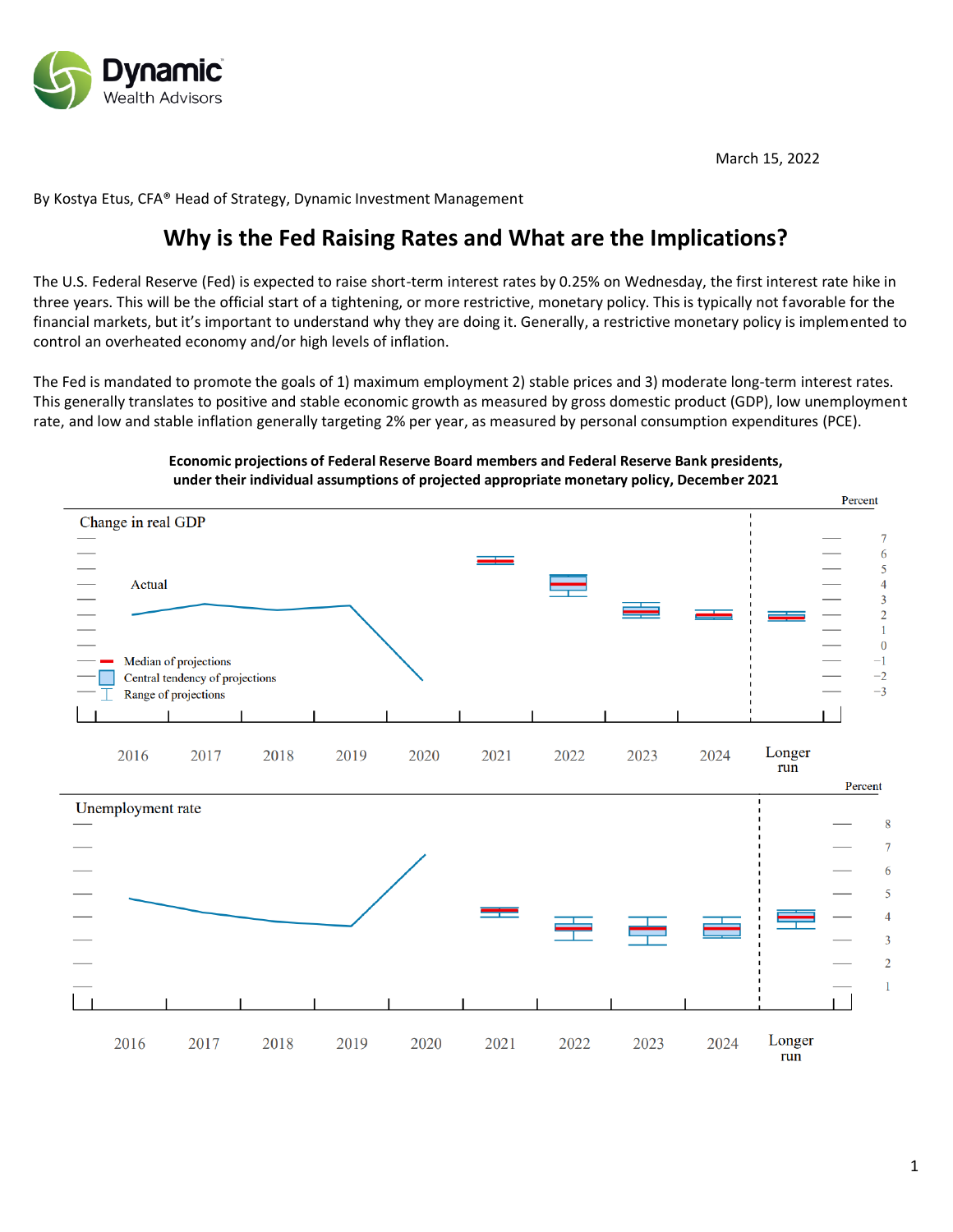

March 15, 2022

By Kostya Etus, CFA® Head of Strategy, Dynamic Investment Management

# **Why is the Fed Raising Rates and What are the Implications?**

The U.S. Federal Reserve (Fed) is expected to raise short-term interest rates by 0.25% on Wednesday, the first interest rate hike in three years. This will be the official start of a tightening, or more restrictive, monetary policy. This is typically not favorable for the financial markets, but it's important to understand why they are doing it. Generally, a restrictive monetary policy is implemented to control an overheated economy and/or high levels of inflation.

The Fed is mandated to promote the goals of 1) maximum employment 2) stable prices and 3) moderate long-term interest rates. This generally translates to positive and stable economic growth as measured by gross domestic product (GDP), low unemployment rate, and low and stable inflation generally targeting 2% per year, as measured by personal consumption expenditures (PCE).

# **Economic projections of Federal Reserve Board members and Federal Reserve Bank presidents, under their individual assumptions of projected appropriate monetary policy, December 2021**

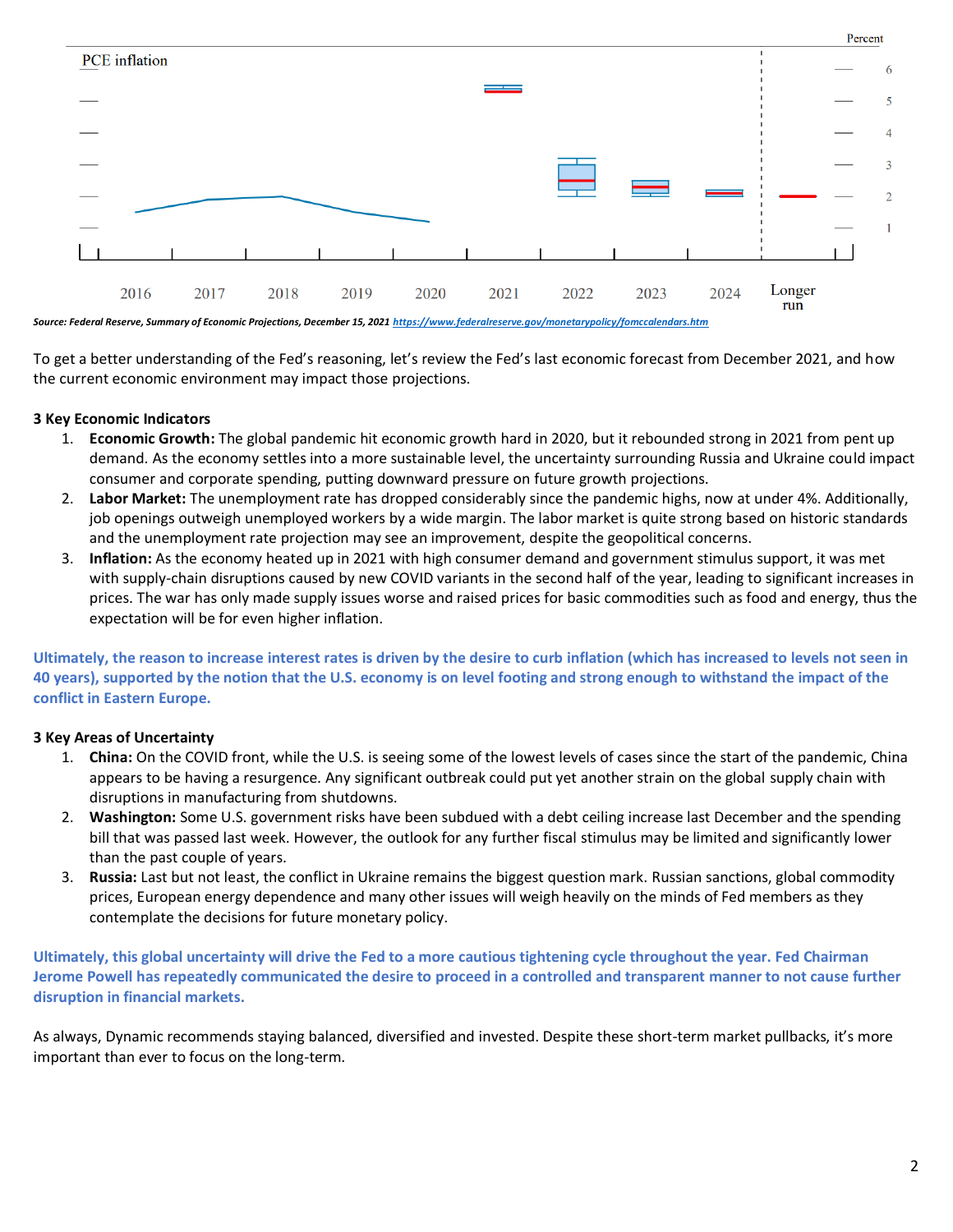

*Source: Federal Reserve, Summary of Economic Projections, December 15, 202[1 https://www.federalreserve.gov/monetarypolicy/fomccalendars.htm](https://www.federalreserve.gov/monetarypolicy/fomccalendars.htm)*

To get a better understanding of the Fed's reasoning, let's review the Fed's last economic forecast from December 2021, and how the current economic environment may impact those projections.

### **3 Key Economic Indicators**

- 1. **Economic Growth:** The global pandemic hit economic growth hard in 2020, but it rebounded strong in 2021 from pent up demand. As the economy settles into a more sustainable level, the uncertainty surrounding Russia and Ukraine could impact consumer and corporate spending, putting downward pressure on future growth projections.
- 2. **Labor Market:** The unemployment rate has dropped considerably since the pandemic highs, now at under 4%. Additionally, job openings outweigh unemployed workers by a wide margin. The labor market is quite strong based on historic standards and the unemployment rate projection may see an improvement, despite the geopolitical concerns.
- 3. **Inflation:** As the economy heated up in 2021 with high consumer demand and government stimulus support, it was met with supply-chain disruptions caused by new COVID variants in the second half of the year, leading to significant increases in prices. The war has only made supply issues worse and raised prices for basic commodities such as food and energy, thus the expectation will be for even higher inflation.

**Ultimately, the reason to increase interest rates is driven by the desire to curb inflation (which has increased to levels not seen in 40 years), supported by the notion that the U.S. economy is on level footing and strong enough to withstand the impact of the conflict in Eastern Europe.** 

# **3 Key Areas of Uncertainty**

- 1. **China:** On the COVID front, while the U.S. is seeing some of the lowest levels of cases since the start of the pandemic, China appears to be having a resurgence. Any significant outbreak could put yet another strain on the global supply chain with disruptions in manufacturing from shutdowns.
- 2. **Washington:** Some U.S. government risks have been subdued with a debt ceiling increase last December and the spending bill that was passed last week. However, the outlook for any further fiscal stimulus may be limited and significantly lower than the past couple of years.
- 3. **Russia:** Last but not least, the conflict in Ukraine remains the biggest question mark. Russian sanctions, global commodity prices, European energy dependence and many other issues will weigh heavily on the minds of Fed members as they contemplate the decisions for future monetary policy.

**Ultimately, this global uncertainty will drive the Fed to a more cautious tightening cycle throughout the year. Fed Chairman Jerome Powell has repeatedly communicated the desire to proceed in a controlled and transparent manner to not cause further disruption in financial markets.**

As always, Dynamic recommends staying balanced, diversified and invested. Despite these short-term market pullbacks, it's more important than ever to focus on the long-term.